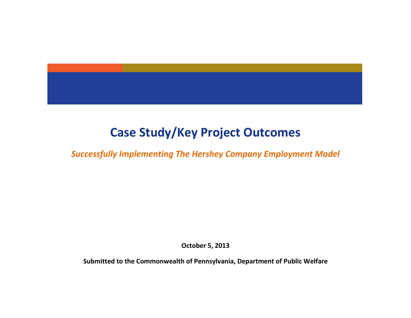

# **Case Study/Key Project Outcomes**

*Successfully Implementing The Hershey Company Employment Model*

**October 5, 2013**

**Submitted to the Commonwealth of Pennsylvania, Department of Public Welfare**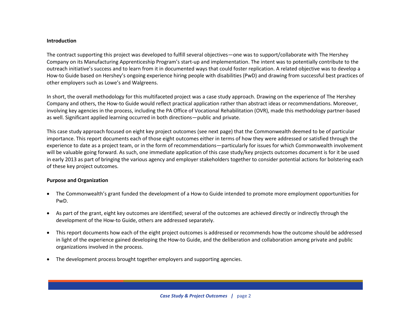### **Introduction**

The contract supporting this project was developed to fulfill several objectives—one was to support/collaborate with The Hershey Company on its Manufacturing Apprenticeship Program's start-up and implementation. The intent was to potentially contribute to the outreach initiative's success and to learn from it in documented ways that could foster replication. A related objective was to develop a How-to Guide based on Hershey's ongoing experience hiring people with disabilities (PwD) and drawing from successful best practices of other employers such as Lowe's and Walgreens.

In short, the overall methodology for this multifaceted project was a case study approach. Drawing on the experience of The Hershey Company and others, the How-to Guide would reflect practical application rather than abstract ideas or recommendations. Moreover, involving key agencies in the process, including the PA Office of Vocational Rehabilitation (OVR), made this methodology partner-based as well. Significant applied learning occurred in both directions—public and private.

This case study approach focused on eight key project outcomes (see next page) that the Commonwealth deemed to be of particular importance. This report documents each of those eight outcomes either in terms of how they were addressed or satisfied through the experience to date as a project team, or in the form of recommendations—particularly for issues for which Commonwealth involvement will be valuable going forward. As such, one immediate application of this case study/key projects outcomes document is for it be used in early 2013 as part of bringing the various agency and employer stakeholders together to consider potential actions for bolstering each of these key project outcomes.

# **Purpose and Organization**

- The Commonwealth's grant funded the development of a How-to Guide intended to promote more employment opportunities for PwD.
- As part of the grant, eight key outcomes are identified; several of the outcomes are achieved directly or indirectly through the development of the How-to Guide, others are addressed separately.
- This report documents how each of the eight project outcomes is addressed or recommends how the outcome should be addressed in light of the experience gained developing the How-to Guide, and the deliberation and collaboration among private and public organizations involved in the process.
- The development process brought together employers and supporting agencies.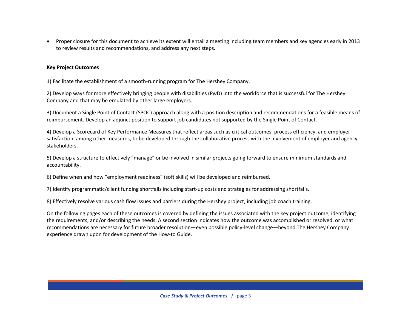Proper closure for this document to achieve its extent will entail a meeting including team members and key agencies early in 2013 to review results and recommendations, and address any next steps.

# **Key Project Outcomes**

1) Facilitate the establishment of a smooth-running program for The Hershey Company.

2) Develop ways for more effectively bringing people with disabilities (PwD) into the workforce that is successful for The Hershey Company and that may be emulated by other large employers.

3) Document a Single Point of Contact (SPOC) approach along with a position description and recommendations for a feasible means of reimbursement. Develop an adjunct position to support job candidates not supported by the Single Point of Contact.

4) Develop a Scorecard of Key Performance Measures that reflect areas such as critical outcomes, process efficiency, and employer satisfaction, among other measures, to be developed through the collaborative process with the involvement of employer and agency stakeholders.

5) Develop a structure to effectively "manage" or be involved in similar projects going forward to ensure minimum standards and accountability.

6) Define when and how "employment readiness" (soft skills) will be developed and reimbursed.

7) Identify programmatic/client funding shortfalls including start-up costs and strategies for addressing shortfalls.

8) Effectively resolve various cash flow issues and barriers during the Hershey project, including job coach training.

On the following pages each of these outcomes is covered by defining the issues associated with the key project outcome, identifying the requirements, and/or describing the needs. A second section indicates how the outcome was accomplished or resolved, or what recommendations are necessary for future broader resolution—even possible policy-level change—beyond The Hershey Company experience drawn upon for development of the How-to Guide.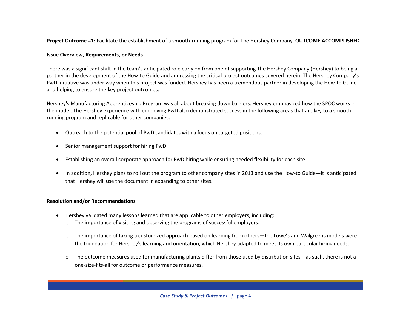**Project Outcome #1:** Facilitate the establishment of a smooth-running program for The Hershey Company. **OUTCOME ACCOMPLISHED**

# **Issue Overview, Requirements, or Needs**

There was a significant shift in the team's anticipated role early on from one of supporting The Hershey Company (Hershey) to being a partner in the development of the How-to Guide and addressing the critical project outcomes covered herein. The Hershey Company's PwD initiative was under way when this project was funded. Hershey has been a tremendous partner in developing the How-to Guide and helping to ensure the key project outcomes.

Hershey's Manufacturing Apprenticeship Program was all about breaking down barriers. Hershey emphasized how the SPOC works in the model. The Hershey experience with employing PwD also demonstrated success in the following areas that are key to a smoothrunning program and replicable for other companies:

- Outreach to the potential pool of PwD candidates with a focus on targeted positions.
- Senior management support for hiring PwD.
- Establishing an overall corporate approach for PwD hiring while ensuring needed flexibility for each site.
- In addition, Hershey plans to roll out the program to other company sites in 2013 and use the How-to Guide—it is anticipated that Hershey will use the document in expanding to other sites.

- Hershey validated many lessons learned that are applicable to other employers, including: o The importance of visiting and observing the programs of successful employers.
	- o The importance of taking a customized approach based on learning from others—the Lowe's and Walgreens models were the foundation for Hershey's learning and orientation, which Hershey adapted to meet its own particular hiring needs.
	- The outcome measures used for manufacturing plants differ from those used by distribution sites—as such, there is not a one-size-fits-all for outcome or performance measures.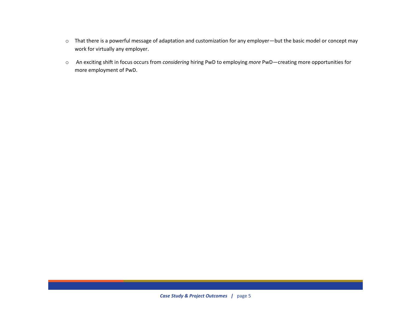- o That there is a powerful message of adaptation and customization for any employer—but the basic model or concept may work for virtually any employer.
- o An exciting shift in focus occurs from *considering* hiring PwD to employing *more* PwD—creating more opportunities for more employment of PwD.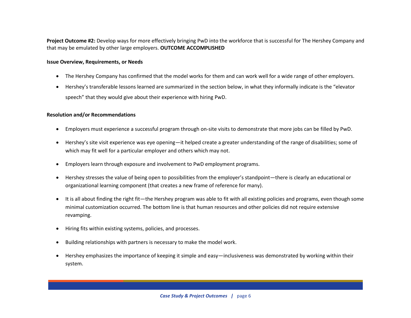**Project Outcome #2:** Develop ways for more effectively bringing PwD into the workforce that is successful for The Hershey Company and that may be emulated by other large employers. **OUTCOME ACCOMPLISHED**

#### **Issue Overview, Requirements, or Needs**

- The Hershey Company has confirmed that the model works for them and can work well for a wide range of other employers.
- Hershey's transferable lessons learned are summarized in the section below, in what they informally indicate is the "elevator speech" that they would give about their experience with hiring PwD.

- Employers must experience a successful program through on-site visits to demonstrate that more jobs can be filled by PwD.
- Hershey's site visit experience was eye opening—it helped create a greater understanding of the range of disabilities; some of which may fit well for a particular employer and others which may not.
- Employers learn through exposure and involvement to PwD employment programs.
- Hershey stresses the value of being open to possibilities from the employer's standpoint—there is clearly an educational or organizational learning component (that creates a new frame of reference for many).
- It is all about finding the right fit—the Hershey program was able to fit with all existing policies and programs, even though some minimal customization occurred. The bottom line is that human resources and other policies did not require extensive revamping.
- Hiring fits within existing systems, policies, and processes.
- Building relationships with partners is necessary to make the model work.
- Hershey emphasizes the importance of keeping it simple and easy—inclusiveness was demonstrated by working within their system.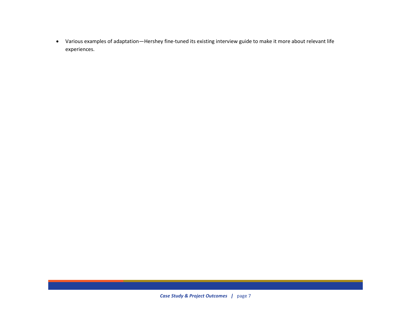Various examples of adaptation—Hershey fine-tuned its existing interview guide to make it more about relevant life experiences.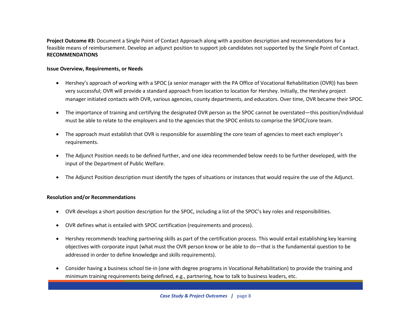**Project Outcome #3:** Document a Single Point of Contact Approach along with a position description and recommendations for a feasible means of reimbursement. Develop an adjunct position to support job candidates not supported by the Single Point of Contact. **RECOMMENDATIONS** 

# **Issue Overview, Requirements, or Needs**

- Hershey's approach of working with a SPOC (a senior manager with the PA Office of Vocational Rehabilitation (OVR)) has been very successful; OVR will provide a standard approach from location to location for Hershey. Initially, the Hershey project manager initiated contacts with OVR, various agencies, county departments, and educators. Over time, OVR became their SPOC.
- The importance of training and certifying the designated OVR person as the SPOC cannot be overstated—this position/individual must be able to relate to the employers and to the agencies that the SPOC enlists to comprise the SPOC/core team.
- The approach must establish that OVR is responsible for assembling the core team of agencies to meet each employer's requirements.
- The Adjunct Position needs to be defined further, and one idea recommended below needs to be further developed, with the input of the Department of Public Welfare.
- The Adjunct Position description must identify the types of situations or instances that would require the use of the Adjunct.

- OVR develops a short position description for the SPOC, including a list of the SPOC's key roles and responsibilities.
- OVR defines what is entailed with SPOC certification (requirements and process).
- Hershey recommends teaching partnering skills as part of the certification process. This would entail establishing key learning objectives with corporate input (what must the OVR person know or be able to do—that is the fundamental question to be addressed in order to define knowledge and skills requirements).
- Consider having a business school tie-in (one with degree programs in Vocational Rehabilitation) to provide the training and minimum training requirements being defined, e.g., partnering, how to talk to business leaders, etc.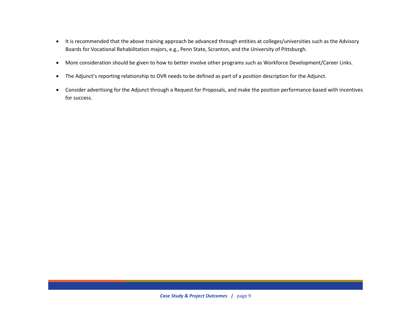- It is recommended that the above training approach be advanced through entities at colleges/universities such as the Advisory Boards for Vocational Rehabilitation majors, e.g., Penn State, Scranton, and the University of Pittsburgh.
- More consideration should be given to how to better involve other programs such as Workforce Development/Career Links.
- The Adjunct's reporting relationship to OVR needs to be defined as part of a position description for the Adjunct.
- Consider advertising for the Adjunct through a Request for Proposals, and make the position performance-based with incentives for success.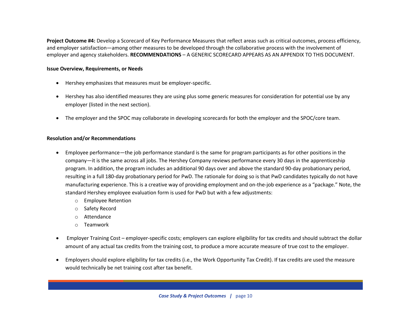**Project Outcome #4:** Develop a Scorecard of Key Performance Measures that reflect areas such as critical outcomes, process efficiency, and employer satisfaction—among other measures to be developed through the collaborative process with the involvement of employer and agency stakeholders. **RECOMMENDATIONS** – A GENERIC SCORECARD APPEARS AS AN APPENDIX TO THIS DOCUMENT.

# **Issue Overview, Requirements, or Needs**

- Hershey emphasizes that measures must be employer-specific.
- Hershey has also identified measures they are using plus some generic measures for consideration for potential use by any employer (listed in the next section).
- The employer and the SPOC may collaborate in developing scorecards for both the employer and the SPOC/core team.

- Employee performance—the job performance standard is the same for program participants as for other positions in the company—it is the same across all jobs. The Hershey Company reviews performance every 30 days in the apprenticeship program. In addition, the program includes an additional 90 days over and above the standard 90-day probationary period, resulting in a full 180-day probationary period for PwD. The rationale for doing so is that PwD candidates typically do not have manufacturing experience. This is a creative way of providing employment and on-the-job experience as a "package." Note, the standard Hershey employee evaluation form is used for PwD but with a few adjustments:
	- o Employee Retention
	- o Safety Record
	- o Attendance
	- o Teamwork
- Employer Training Cost employer-specific costs; employers can explore eligibility for tax credits and should subtract the dollar amount of any actual tax credits from the training cost, to produce a more accurate measure of true cost to the employer.
- Employers should explore eligibility for tax credits (i.e., the Work Opportunity Tax Credit). If tax credits are used the measure would technically be net training cost after tax benefit.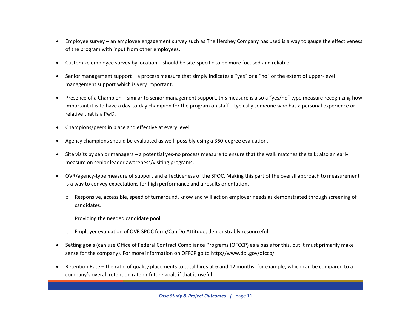- Employee survey an employee engagement survey such as The Hershey Company has used is a way to gauge the effectiveness of the program with input from other employees.
- Customize employee survey by location should be site-specific to be more focused and reliable.
- Senior management support a process measure that simply indicates a "yes" or a "no" or the extent of upper-level management support which is very important.
- Presence of a Champion similar to senior management support, this measure is also a "yes/no" type measure recognizing how important it is to have a day-to-day champion for the program on staff—typically someone who has a personal experience or relative that is a PwD.
- Champions/peers in place and effective at every level.
- Agency champions should be evaluated as well, possibly using a 360-degree evaluation.
- Site visits by senior managers a potential yes-no process measure to ensure that the walk matches the talk; also an early measure on senior leader awareness/visiting programs.
- OVR/agency-type measure of support and effectiveness of the SPOC. Making this part of the overall approach to measurement is a way to convey expectations for high performance and a results orientation.
	- $\circ$  Responsive, accessible, speed of turnaround, know and will act on employer needs as demonstrated through screening of candidates.
	- o Providing the needed candidate pool.
	- o Employer evaluation of OVR SPOC form/Can Do Attitude; demonstrably resourceful.
- Setting goals (can use Office of Federal Contract Compliance Programs (OFCCP) as a basis for this, but it must primarily make sense for the company). For more information on OFFCP go to http://www.dol.gov/ofccp/
- Retention Rate the ratio of quality placements to total hires at 6 and 12 months, for example, which can be compared to a company's overall retention rate or future goals if that is useful.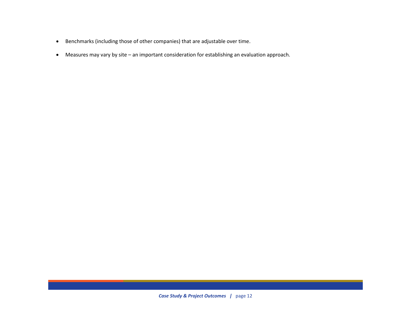- Benchmarks (including those of other companies) that are adjustable over time.
- Measures may vary by site an important consideration for establishing an evaluation approach.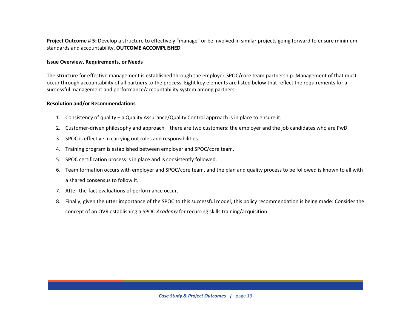**Project Outcome # 5:** Develop a structure to effectively "manage" or be involved in similar projects going forward to ensure minimum standards and accountability. **OUTCOME ACCOMPLISHED**

#### **Issue Overview, Requirements, or Needs**

The structure for effective management is established through the employer-SPOC/core team partnership. Management of that must occur through accountability of all partners to the process. Eight key elements are listed below that reflect the requirements for a successful management and performance/accountability system among partners.

- 1. Consistency of quality a Quality Assurance/Quality Control approach is in place to ensure it.
- 2. Customer-driven philosophy and approach there are two customers: the employer and the job candidates who are PwD.
- 3. SPOC is effective in carrying out roles and responsibilities.
- 4. Training program is established between employer and SPOC/core team.
- 5. SPOC certification process is in place and is consistently followed.
- 6. Team formation occurs with employer and SPOC/core team, and the plan and quality process to be followed is known to all with a shared consensus to follow it.
- 7. After-the-fact evaluations of performance occur.
- 8. Finally, given the utter importance of the SPOC to this successful model, this policy recommendation is being made: Consider the concept of an OVR establishing a SPOC *Academy* for recurring skills training/acquisition.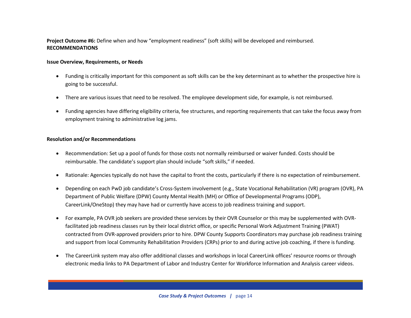# **Project Outcome #6:** Define when and how "employment readiness" (soft skills) will be developed and reimbursed. **RECOMMENDATIONS**

# **Issue Overview, Requirements, or Needs**

- Funding is critically important for this component as soft skills can be the key determinant as to whether the prospective hire is going to be successful.
- There are various issues that need to be resolved. The employee development side, for example, is not reimbursed.
- Funding agencies have differing eligibility criteria, fee structures, and reporting requirements that can take the focus away from employment training to administrative log jams.

- Recommendation: Set up a pool of funds for those costs not normally reimbursed or waiver funded. Costs should be reimbursable. The candidate's support plan should include "soft skills," if needed.
- Rationale: Agencies typically do not have the capital to front the costs, particularly if there is no expectation of reimbursement.
- Depending on each PwD job candidate's Cross-System involvement (e.g., State Vocational Rehabilitation (VR) program (OVR), PA Department of Public Welfare (DPW) County Mental Health (MH) or Office of Developmental Programs (ODP), CareerLink/OneStop) they may have had or currently have access to job readiness training and support.
- For example, PA OVR job seekers are provided these services by their OVR Counselor or this may be supplemented with OVRfacilitated job readiness classes run by their local district office, or specific Personal Work Adjustment Training (PWAT) contracted from OVR-approved providers prior to hire. DPW County Supports Coordinators may purchase job readiness training and support from local Community Rehabilitation Providers (CRPs) prior to and during active job coaching, if there is funding.
- The CareerLink system may also offer additional classes and workshops in local CareerLink offices' resource rooms or through electronic media links to PA Department of Labor and Industry Center for Workforce Information and Analysis career videos.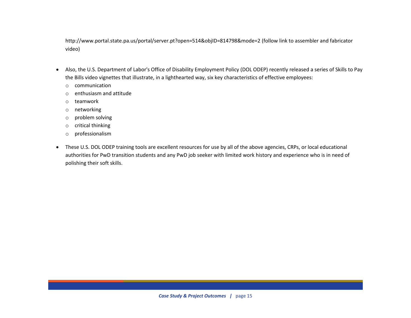<http://www.portal.state.pa.us/portal/server.pt?open=514&objID=814798&mode=2> (follow link to assembler and fabricator video)

- Also, the U.S. Department of Labor's Office of Disability Employment Policy (DOL ODEP) recently released a series of [Skills to Pay](http://links.govdelivery.com/track?type=click&enid=ZWFzPTEmbWFpbGluZ2lkPTIwMTIxMTI2LjEyNTcxNDIxJm1lc3NhZ2VpZD1NREItUFJELUJVTC0yMDEyMTEyNi4xMjU3MTQyMSZkYXRhYmFzZWlkPTEwMDEmc2VyaWFsPTE3Mjg1NDg3JmVtYWlsaWQ9cnJvYWNoQHBhLmdvdiZ1c2VyaWQ9cnJvYWNoQHBhLmdvdiZmbD0mZXh0cmE9TXVsdGl2YXJpYXRlSWQ9JiYm&&&100&&&http://www.dol.gov/dol/media/webcast/20121015-softskills/)  [the Bills video vignettes](http://links.govdelivery.com/track?type=click&enid=ZWFzPTEmbWFpbGluZ2lkPTIwMTIxMTI2LjEyNTcxNDIxJm1lc3NhZ2VpZD1NREItUFJELUJVTC0yMDEyMTEyNi4xMjU3MTQyMSZkYXRhYmFzZWlkPTEwMDEmc2VyaWFsPTE3Mjg1NDg3JmVtYWlsaWQ9cnJvYWNoQHBhLmdvdiZ1c2VyaWQ9cnJvYWNoQHBhLmdvdiZmbD0mZXh0cmE9TXVsdGl2YXJpYXRlSWQ9JiYm&&&100&&&http://www.dol.gov/dol/media/webcast/20121015-softskills/) that illustrate, in a lighthearted way, six key characteristics of effective employees:
	- o communication
	- o enthusiasm and attitude
	- o teamwork
	- o networking
	- o problem solving
	- o critical thinking
	- o professionalism
- These U.S. DOL ODEP training tools are excellent resources for use by all of the above agencies, CRPs, or local educational authorities for PwD transition students and any PwD job seeker with limited work history and experience who is in need of polishing their soft skills.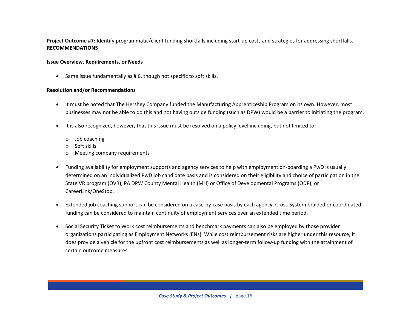# **Project Outcome #7:** Identify programmatic/client funding shortfalls including start-up costs and strategies for addressing shortfalls. **RECOMMENDATIONS**

# **Issue Overview, Requirements, or Needs**

• Same issue fundamentally as #6, though not specific to soft skills.

- It must be noted that The Hershey Company funded the Manufacturing Apprenticeship Program on its own. However, most businesses may not be able to do this and not having outside funding (such as DPW) would be a barrier to initiating the program.
- It is also recognized, however, that this issue must be resolved on a policy level including, but not limited to:
	- o Job coaching
	- o Soft skills
	- o Meeting company requirements
- Funding availability for employment supports and agency services to help with employment on-boarding a PwD is usually determined on an individualized PwD job candidate basis and is considered on their eligibility and choice of participation in the State VR program (OVR), PA DPW County Mental Health (MH) or Office of Developmental Programs (ODP), or CareerLink/OneStop.
- Extended job coaching support can be considered on a case-by-case basis by each agency. Cross-System braided or coordinated funding can be considered to maintain continuity of employment services over an extended time period.
- Social Security Ticket to Work cost reimbursements and benchmark payments can also be employed by those provider organizations participating as Employment Networks (ENs). While cost reimbursement risks are higher under this resource, it does provide a vehicle for the upfront cost reimbursements as well as longer-term follow-up funding with the attainment of certain outcome measures.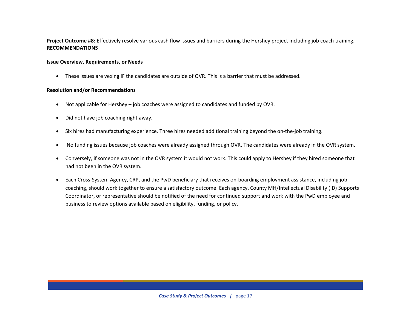# **Project Outcome #8:** Effectively resolve various cash flow issues and barriers during the Hershey project including job coach training. **RECOMMENDATIONS**

### **Issue Overview, Requirements, or Needs**

These issues are vexing IF the candidates are outside of OVR. This is a barrier that must be addressed.

- Not applicable for Hershey job coaches were assigned to candidates and funded by OVR.
- Did not have job coaching right away.
- Six hires had manufacturing experience. Three hires needed additional training beyond the on-the-job training.
- No funding issues because job coaches were already assigned through OVR. The candidates were already in the OVR system.
- Conversely, if someone was not in the OVR system it would not work. This could apply to Hershey if they hired someone that had not been in the OVR system.
- Each Cross-System Agency, CRP, and the PwD beneficiary that receives on-boarding employment assistance, including job coaching, should work together to ensure a satisfactory outcome. Each agency, County MH/Intellectual Disability (ID) Supports Coordinator, or representative should be notified of the need for continued support and work with the PwD employee and business to review options available based on eligibility, funding, or policy.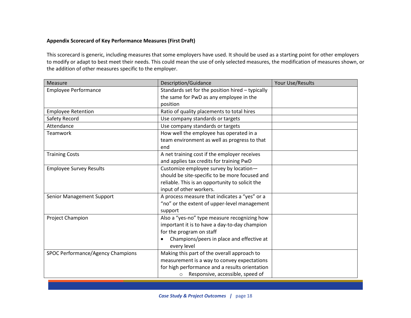# **Appendix Scorecard of Key Performance Measures (First Draft)**

This scorecard is generic, including measures that some employers have used. It should be used as a starting point for other employers to modify or adapt to best meet their needs. This could mean the use of only selected measures, the modification of measures shown, or the addition of other measures specific to the employer.

| Measure                           | Description/Guidance                             | Your Use/Results |
|-----------------------------------|--------------------------------------------------|------------------|
| <b>Employee Performance</b>       | Standards set for the position hired - typically |                  |
|                                   | the same for PwD as any employee in the          |                  |
|                                   | position                                         |                  |
| <b>Employee Retention</b>         | Ratio of quality placements to total hires       |                  |
| Safety Record                     | Use company standards or targets                 |                  |
| Attendance                        | Use company standards or targets                 |                  |
| <b>Teamwork</b>                   | How well the employee has operated in a          |                  |
|                                   | team environment as well as progress to that     |                  |
|                                   | end                                              |                  |
| <b>Training Costs</b>             | A net training cost if the employer receives     |                  |
|                                   | and applies tax credits for training PwD         |                  |
| <b>Employee Survey Results</b>    | Customize employee survey by location-           |                  |
|                                   | should be site-specific to be more focused and   |                  |
|                                   | reliable. This is an opportunity to solicit the  |                  |
|                                   | input of other workers.                          |                  |
| Senior Management Support         | A process measure that indicates a "yes" or a    |                  |
|                                   | "no" or the extent of upper-level management     |                  |
|                                   | support                                          |                  |
| Project Champion                  | Also a "yes-no" type measure recognizing how     |                  |
|                                   | important it is to have a day-to-day champion    |                  |
|                                   | for the program on staff                         |                  |
|                                   | Champions/peers in place and effective at        |                  |
|                                   | every level                                      |                  |
| SPOC Performance/Agency Champions | Making this part of the overall approach to      |                  |
|                                   | measurement is a way to convey expectations      |                  |
|                                   | for high performance and a results orientation   |                  |
|                                   | Responsive, accessible, speed of<br>O            |                  |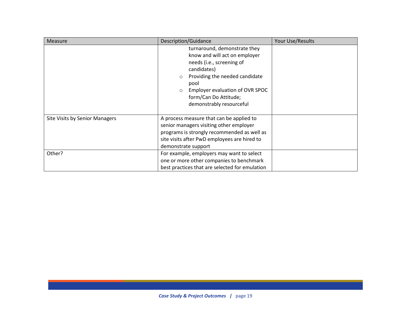| <b>Measure</b>                 | Description/Guidance                                                                                                                                                                                                                                              | Your Use/Results |
|--------------------------------|-------------------------------------------------------------------------------------------------------------------------------------------------------------------------------------------------------------------------------------------------------------------|------------------|
|                                | turnaround, demonstrate they<br>know and will act on employer<br>needs (i.e., screening of<br>candidates)<br>Providing the needed candidate<br>$\circ$<br>pool<br>Employer evaluation of OVR SPOC<br>$\circ$<br>form/Can Do Attitude;<br>demonstrably resourceful |                  |
| Site Visits by Senior Managers | A process measure that can be applied to<br>senior managers visiting other employer<br>programs is strongly recommended as well as<br>site visits after PwD employees are hired to<br>demonstrate support                                                         |                  |
| Other?                         | For example, employers may want to select<br>one or more other companies to benchmark<br>best practices that are selected for emulation                                                                                                                           |                  |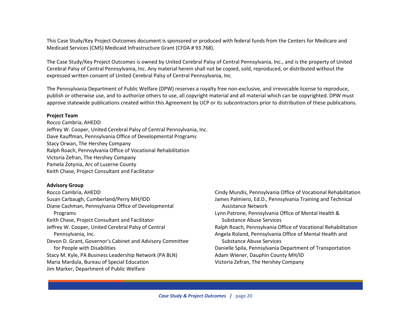This Case Study/Key Project Outcomes document is sponsored or produced with federal funds from the Centers for Medicare and Medicaid Services (CMS) Medicaid Infrastructure Grant (CFDA # 93.768).

The Case Study/Key Project Outcomes is owned by United Cerebral Palsy of Central Pennsylvania, Inc., and is the property of United Cerebral Palsy of Central Pennsylvania, Inc. Any material herein shall not be copied, sold, reproduced, or distributed without the expressed written consent of United Cerebral Palsy of Central Pennsylvania, Inc.

The Pennsylvania Department of Public Welfare (DPW) reserves a royalty free non-exclusive, and irrevocable license to reproduce, publish or otherwise use, and to authorize others to use, all copyright material and all material which can be copyrighted. DPW must approve statewide publications created within this Agreement by UCP or its subcontractors prior to distribution of these publications.

#### **Project Team**

Rocco Cambria, AHEDD Jeffrey W. Cooper, United Cerebral Palsy of Central Pennsylvania, Inc. Dave Kauffman, Pennsylvania Office of Developmental Programs Stacy Orwan, The Hershey Company Ralph Roach, Pennsylvania Office of Vocational Rehabilitation Victoria Zefran, The Hershey Company Pamela Zotynia, Arc of Luzerne County Keith Chase, Project Consultant and Facilitator

#### **Advisory Group**

Rocco Cambria, AHEDD Susan Carbaugh, Cumberland/Perry MH/IDD Diane Cashman, Pennsylvania Office of Developmental Programs Keith Chase, Project Consultant and Facilitator Jeffrey W. Cooper, United Cerebral Palsy of Central Pennsylvania, Inc. Devon D. Grant, Governor's Cabinet and Advisory Committee for People with Disabilities Stacy M. Kyle, PA Business Leadership Network (PA BLN) Maria Mardula, Bureau of Special Education Jim Marker, Department of Public Welfare

Cindy Mundis, Pennsylvania Office of Vocational Rehabilitation James Palmiero, Ed.D., Pennsylvania Training and Technical Assistance Network Lynn Patrone, Pennsylvania Office of Mental Health & Substance Abuse Services Ralph Roach, Pennsylvania Office of Vocational Rehabilitation Angela Roland, Pennsylvania Office of Mental Health and Substance Abuse Services Danielle Spila, Pennsylvania Department of Transportation Adam Wiener, Dauphin County MH/ID Victoria Zefran, The Hershey Company